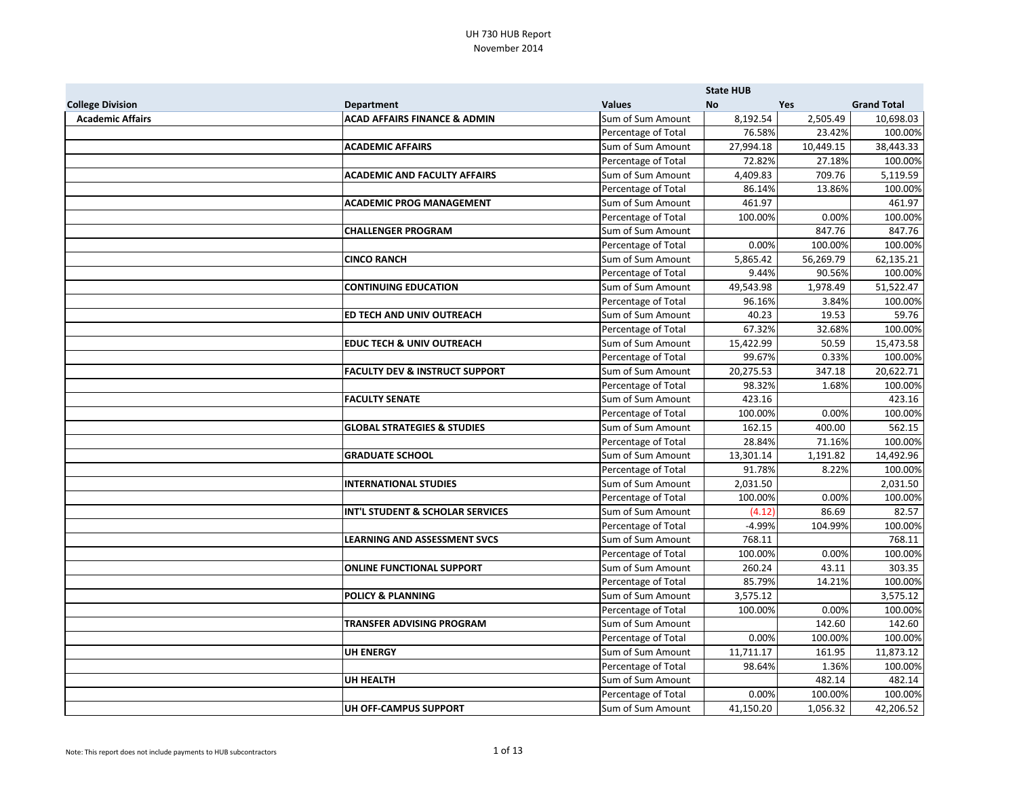|                         |                                             |                     | <b>State HUB</b> |           |                    |
|-------------------------|---------------------------------------------|---------------------|------------------|-----------|--------------------|
| <b>College Division</b> | <b>Department</b>                           | <b>Values</b>       | <b>No</b>        | Yes       | <b>Grand Total</b> |
| <b>Academic Affairs</b> | <b>ACAD AFFAIRS FINANCE &amp; ADMIN</b>     | Sum of Sum Amount   | 8,192.54         | 2,505.49  | 10,698.03          |
|                         |                                             | Percentage of Total | 76.58%           | 23.42%    | 100.00%            |
|                         | <b>ACADEMIC AFFAIRS</b>                     | Sum of Sum Amount   | 27,994.18        | 10,449.15 | 38,443.33          |
|                         |                                             | Percentage of Total | 72.82%           | 27.18%    | 100.00%            |
|                         | <b>ACADEMIC AND FACULTY AFFAIRS</b>         | Sum of Sum Amount   | 4,409.83         | 709.76    | 5,119.59           |
|                         |                                             | Percentage of Total | 86.14%           | 13.86%    | 100.00%            |
|                         | <b>ACADEMIC PROG MANAGEMENT</b>             | Sum of Sum Amount   | 461.97           |           | 461.97             |
|                         |                                             | Percentage of Total | 100.00%          | 0.00%     | 100.00%            |
|                         | <b>CHALLENGER PROGRAM</b>                   | Sum of Sum Amount   |                  | 847.76    | 847.76             |
|                         |                                             | Percentage of Total | 0.00%            | 100.00%   | 100.00%            |
|                         | <b>CINCO RANCH</b>                          | Sum of Sum Amount   | 5,865.42         | 56,269.79 | 62,135.21          |
|                         |                                             | Percentage of Total | 9.44%            | 90.56%    | 100.00%            |
|                         | <b>CONTINUING EDUCATION</b>                 | Sum of Sum Amount   | 49,543.98        | 1,978.49  | 51,522.47          |
|                         |                                             | Percentage of Total | 96.16%           | 3.84%     | 100.00%            |
|                         | ED TECH AND UNIV OUTREACH                   | Sum of Sum Amount   | 40.23            | 19.53     | 59.76              |
|                         |                                             | Percentage of Total | 67.32%           | 32.68%    | 100.00%            |
|                         | <b>EDUC TECH &amp; UNIV OUTREACH</b>        | Sum of Sum Amount   | 15,422.99        | 50.59     | 15,473.58          |
|                         |                                             | Percentage of Total | 99.67%           | 0.33%     | 100.00%            |
|                         | <b>FACULTY DEV &amp; INSTRUCT SUPPORT</b>   | Sum of Sum Amount   | 20,275.53        | 347.18    | 20,622.71          |
|                         |                                             | Percentage of Total | 98.32%           | 1.68%     | 100.00%            |
|                         | <b>FACULTY SENATE</b>                       | Sum of Sum Amount   | 423.16           |           | 423.16             |
|                         |                                             | Percentage of Total | 100.00%          | 0.00%     | 100.00%            |
|                         | <b>GLOBAL STRATEGIES &amp; STUDIES</b>      | Sum of Sum Amount   | 162.15           | 400.00    | 562.15             |
|                         |                                             | Percentage of Total | 28.84%           | 71.16%    | 100.00%            |
|                         | <b>GRADUATE SCHOOL</b>                      | Sum of Sum Amount   | 13,301.14        | 1,191.82  | 14,492.96          |
|                         |                                             | Percentage of Total | 91.78%           | 8.22%     | 100.00%            |
|                         | <b>INTERNATIONAL STUDIES</b>                | Sum of Sum Amount   | 2,031.50         |           | 2,031.50           |
|                         |                                             | Percentage of Total | 100.00%          | 0.00%     | 100.00%            |
|                         | <b>INT'L STUDENT &amp; SCHOLAR SERVICES</b> | Sum of Sum Amount   | (4.12)           | 86.69     | 82.57              |
|                         |                                             | Percentage of Total | $-4.99%$         | 104.99%   | 100.00%            |
|                         | <b>LEARNING AND ASSESSMENT SVCS</b>         | Sum of Sum Amount   | 768.11           |           | 768.11             |
|                         |                                             | Percentage of Total | 100.00%          | 0.00%     | 100.00%            |
|                         | <b>ONLINE FUNCTIONAL SUPPORT</b>            | Sum of Sum Amount   | 260.24           | 43.11     | 303.35             |
|                         |                                             | Percentage of Total | 85.79%           | 14.21%    | 100.00%            |
|                         | <b>POLICY &amp; PLANNING</b>                | Sum of Sum Amount   | 3,575.12         |           | 3,575.12           |
|                         |                                             | Percentage of Total | 100.00%          | 0.00%     | 100.00%            |
|                         | <b>TRANSFER ADVISING PROGRAM</b>            | Sum of Sum Amount   |                  | 142.60    | 142.60             |
|                         |                                             | Percentage of Total | 0.00%            | 100.00%   | 100.00%            |
|                         | <b>UH ENERGY</b>                            | Sum of Sum Amount   | 11,711.17        | 161.95    | 11,873.12          |
|                         |                                             | Percentage of Total | 98.64%           | 1.36%     | 100.00%            |
|                         | <b>UH HEALTH</b>                            | Sum of Sum Amount   |                  | 482.14    | 482.14             |
|                         |                                             | Percentage of Total | 0.00%            | 100.00%   | 100.00%            |
|                         | UH OFF-CAMPUS SUPPORT                       | Sum of Sum Amount   | 41,150.20        | 1,056.32  | 42,206.52          |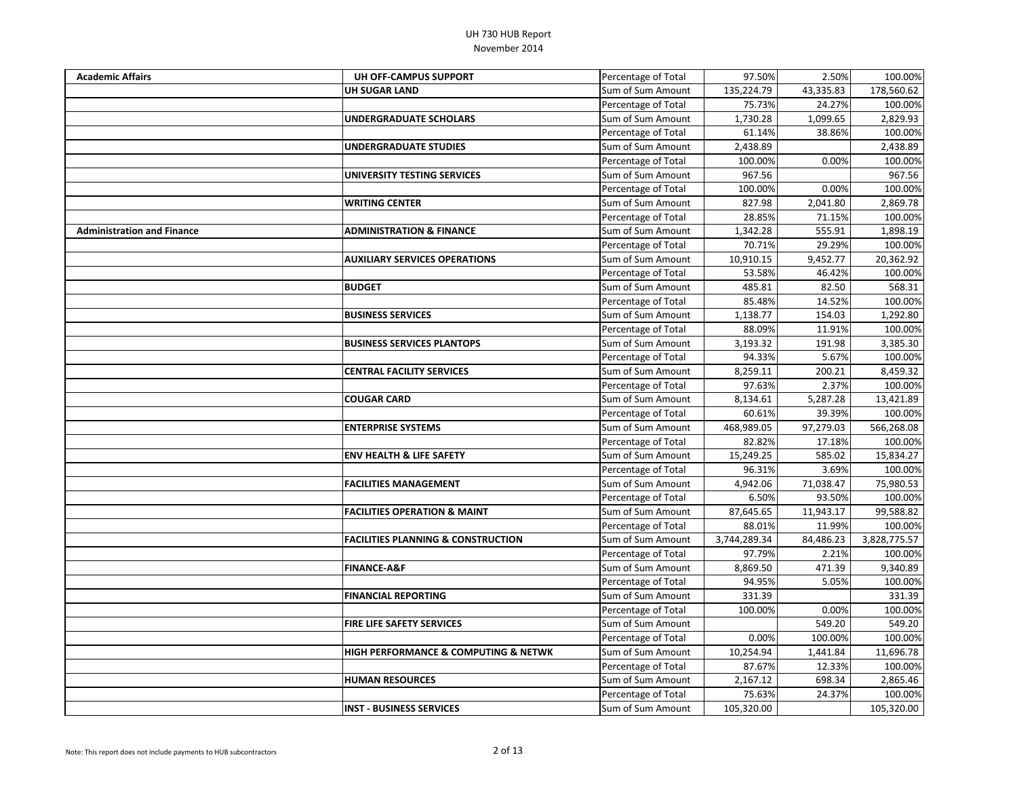| <b>Academic Affairs</b>           | UH OFF-CAMPUS SUPPORT                               | Percentage of Total | 97.50%       | 2.50%     | 100.00%      |
|-----------------------------------|-----------------------------------------------------|---------------------|--------------|-----------|--------------|
|                                   | <b>UH SUGAR LAND</b>                                | Sum of Sum Amount   | 135,224.79   | 43,335.83 | 178,560.62   |
|                                   |                                                     | Percentage of Total | 75.73%       | 24.27%    | 100.00%      |
|                                   | <b>UNDERGRADUATE SCHOLARS</b>                       | Sum of Sum Amount   | 1,730.28     | 1,099.65  | 2,829.93     |
|                                   |                                                     | Percentage of Total | 61.14%       | 38.86%    | 100.00%      |
|                                   | <b>UNDERGRADUATE STUDIES</b>                        | Sum of Sum Amount   | 2,438.89     |           | 2,438.89     |
|                                   |                                                     | Percentage of Total | 100.00%      | 0.00%     | 100.00%      |
|                                   | UNIVERSITY TESTING SERVICES                         | Sum of Sum Amount   | 967.56       |           | 967.56       |
|                                   |                                                     | Percentage of Total | 100.00%      | 0.00%     | 100.00%      |
|                                   | <b>WRITING CENTER</b>                               | Sum of Sum Amount   | 827.98       | 2,041.80  | 2,869.78     |
|                                   |                                                     | Percentage of Total | 28.85%       | 71.15%    | 100.00%      |
| <b>Administration and Finance</b> | <b>ADMINISTRATION &amp; FINANCE</b>                 | Sum of Sum Amount   | 1,342.28     | 555.91    | 1,898.19     |
|                                   |                                                     | Percentage of Total | 70.71%       | 29.29%    | 100.00%      |
|                                   | <b>AUXILIARY SERVICES OPERATIONS</b>                | Sum of Sum Amount   | 10,910.15    | 9,452.77  | 20,362.92    |
|                                   |                                                     | Percentage of Total | 53.58%       | 46.42%    | 100.00%      |
|                                   | <b>BUDGET</b>                                       | Sum of Sum Amount   | 485.81       | 82.50     | 568.31       |
|                                   |                                                     | Percentage of Total | 85.48%       | 14.52%    | 100.00%      |
|                                   | <b>BUSINESS SERVICES</b>                            | Sum of Sum Amount   | 1,138.77     | 154.03    | 1,292.80     |
|                                   |                                                     | Percentage of Total | 88.09%       | 11.91%    | 100.00%      |
|                                   | <b>BUSINESS SERVICES PLANTOPS</b>                   | Sum of Sum Amount   | 3,193.32     | 191.98    | 3,385.30     |
|                                   |                                                     | Percentage of Total | 94.33%       | 5.67%     | 100.00%      |
|                                   | <b>CENTRAL FACILITY SERVICES</b>                    | Sum of Sum Amount   | 8,259.11     | 200.21    | 8,459.32     |
|                                   |                                                     | Percentage of Total | 97.63%       | 2.37%     | 100.00%      |
|                                   | <b>COUGAR CARD</b>                                  | Sum of Sum Amount   | 8,134.61     | 5,287.28  | 13,421.89    |
|                                   |                                                     | Percentage of Total | 60.61%       | 39.39%    | 100.00%      |
|                                   | <b>ENTERPRISE SYSTEMS</b>                           | Sum of Sum Amount   | 468,989.05   | 97,279.03 | 566,268.08   |
|                                   |                                                     | Percentage of Total | 82.82%       | 17.18%    | 100.00%      |
|                                   | <b>ENV HEALTH &amp; LIFE SAFETY</b>                 | Sum of Sum Amount   | 15,249.25    | 585.02    | 15,834.27    |
|                                   |                                                     | Percentage of Total | 96.31%       | 3.69%     | 100.00%      |
|                                   | <b>FACILITIES MANAGEMENT</b>                        | Sum of Sum Amount   | 4,942.06     | 71,038.47 | 75,980.53    |
|                                   |                                                     | Percentage of Total | 6.50%        | 93.50%    | 100.00%      |
|                                   | <b>FACILITIES OPERATION &amp; MAINT</b>             | Sum of Sum Amount   | 87,645.65    | 11,943.17 | 99,588.82    |
|                                   |                                                     | Percentage of Total | 88.01%       | 11.99%    | 100.00%      |
|                                   | <b>FACILITIES PLANNING &amp; CONSTRUCTION</b>       | Sum of Sum Amount   | 3,744,289.34 | 84,486.23 | 3,828,775.57 |
|                                   |                                                     | Percentage of Total | 97.79%       | 2.21%     | 100.00%      |
|                                   | <b>FINANCE-A&amp;F</b>                              | Sum of Sum Amount   | 8,869.50     | 471.39    | 9,340.89     |
|                                   |                                                     | Percentage of Total | 94.95%       | 5.05%     | 100.00%      |
|                                   | <b>FINANCIAL REPORTING</b>                          | Sum of Sum Amount   | 331.39       |           | 331.39       |
|                                   |                                                     | Percentage of Total | 100.00%      | 0.00%     | 100.00%      |
|                                   | <b>FIRE LIFE SAFETY SERVICES</b>                    | Sum of Sum Amount   |              | 549.20    | 549.20       |
|                                   |                                                     | Percentage of Total | 0.00%        | 100.00%   | 100.00%      |
|                                   | <b>HIGH PERFORMANCE &amp; COMPUTING &amp; NETWK</b> | Sum of Sum Amount   | 10,254.94    | 1,441.84  | 11,696.78    |
|                                   |                                                     | Percentage of Total | 87.67%       | 12.33%    | 100.00%      |
|                                   | <b>HUMAN RESOURCES</b>                              | Sum of Sum Amount   | 2,167.12     | 698.34    | 2,865.46     |
|                                   |                                                     | Percentage of Total | 75.63%       | 24.37%    | 100.00%      |
|                                   | <b>INST - BUSINESS SERVICES</b>                     | Sum of Sum Amount   | 105,320.00   |           | 105,320.00   |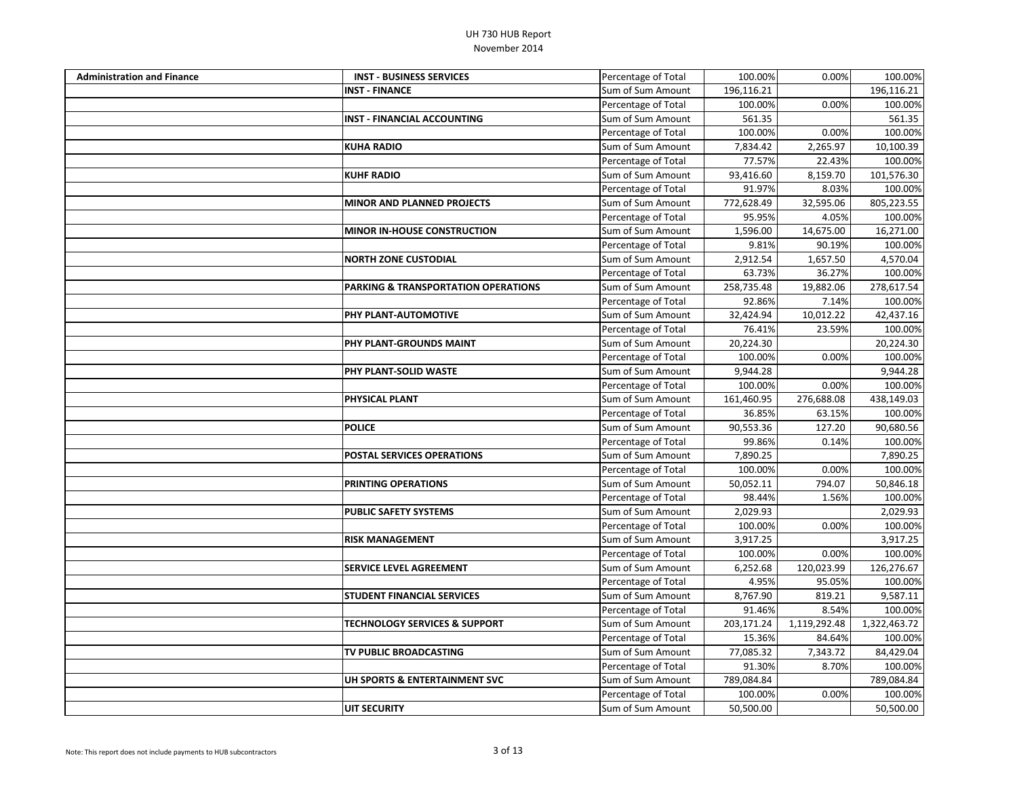| <b>Administration and Finance</b> | <b>INST - BUSINESS SERVICES</b>          | Percentage of Total | 100.00%    | 0.00%        | 100.00%      |
|-----------------------------------|------------------------------------------|---------------------|------------|--------------|--------------|
|                                   | <b>INST - FINANCE</b>                    | Sum of Sum Amount   | 196,116.21 |              | 196,116.21   |
|                                   |                                          | Percentage of Total | 100.00%    | 0.00%        | 100.00%      |
|                                   | <b>INST - FINANCIAL ACCOUNTING</b>       | Sum of Sum Amount   | 561.35     |              | 561.35       |
|                                   |                                          | Percentage of Total | 100.00%    | 0.00%        | 100.00%      |
|                                   | <b>KUHA RADIO</b>                        | Sum of Sum Amount   | 7,834.42   | 2,265.97     | 10,100.39    |
|                                   |                                          | Percentage of Total | 77.57%     | 22.43%       | 100.00%      |
|                                   | <b>KUHF RADIO</b>                        | Sum of Sum Amount   | 93,416.60  | 8,159.70     | 101,576.30   |
|                                   |                                          | Percentage of Total | 91.97%     | 8.03%        | 100.00%      |
|                                   | <b>MINOR AND PLANNED PROJECTS</b>        | Sum of Sum Amount   | 772,628.49 | 32,595.06    | 805,223.55   |
|                                   |                                          | Percentage of Total | 95.95%     | 4.05%        | 100.00%      |
|                                   | <b>MINOR IN-HOUSE CONSTRUCTION</b>       | Sum of Sum Amount   | 1,596.00   | 14,675.00    | 16,271.00    |
|                                   |                                          | Percentage of Total | 9.81%      | 90.19%       | 100.00%      |
|                                   | <b>NORTH ZONE CUSTODIAL</b>              | Sum of Sum Amount   | 2,912.54   | 1,657.50     | 4,570.04     |
|                                   |                                          | Percentage of Total | 63.73%     | 36.27%       | 100.00%      |
|                                   | PARKING & TRANSPORTATION OPERATIONS      | Sum of Sum Amount   | 258,735.48 | 19,882.06    | 278,617.54   |
|                                   |                                          | Percentage of Total | 92.86%     | 7.14%        | 100.00%      |
|                                   | PHY PLANT-AUTOMOTIVE                     | Sum of Sum Amount   | 32,424.94  | 10,012.22    | 42,437.16    |
|                                   |                                          | Percentage of Total | 76.41%     | 23.59%       | 100.00%      |
|                                   | PHY PLANT-GROUNDS MAINT                  | Sum of Sum Amount   | 20,224.30  |              | 20,224.30    |
|                                   |                                          | Percentage of Total | 100.00%    | 0.00%        | 100.00%      |
|                                   | PHY PLANT-SOLID WASTE                    | Sum of Sum Amount   | 9,944.28   |              | 9,944.28     |
|                                   |                                          | Percentage of Total | 100.00%    | 0.00%        | 100.00%      |
|                                   | <b>PHYSICAL PLANT</b>                    | Sum of Sum Amount   | 161,460.95 | 276,688.08   | 438,149.03   |
|                                   |                                          | Percentage of Total | 36.85%     | 63.15%       | 100.00%      |
|                                   | <b>POLICE</b>                            | Sum of Sum Amount   | 90,553.36  | 127.20       | 90,680.56    |
|                                   |                                          | Percentage of Total | 99.86%     | 0.14%        | 100.00%      |
|                                   | <b>POSTAL SERVICES OPERATIONS</b>        | Sum of Sum Amount   | 7,890.25   |              | 7,890.25     |
|                                   |                                          | Percentage of Total | 100.00%    | 0.00%        | 100.00%      |
|                                   | PRINTING OPERATIONS                      | Sum of Sum Amount   | 50,052.11  | 794.07       | 50,846.18    |
|                                   |                                          | Percentage of Total | 98.44%     | 1.56%        | 100.00%      |
|                                   | <b>PUBLIC SAFETY SYSTEMS</b>             | Sum of Sum Amount   | 2,029.93   |              | 2,029.93     |
|                                   |                                          | Percentage of Total | 100.00%    | 0.00%        | 100.00%      |
|                                   | <b>RISK MANAGEMENT</b>                   | Sum of Sum Amount   | 3,917.25   |              | 3,917.25     |
|                                   |                                          | Percentage of Total | 100.00%    | 0.00%        | 100.00%      |
|                                   | <b>SERVICE LEVEL AGREEMENT</b>           | Sum of Sum Amount   | 6,252.68   | 120,023.99   | 126,276.67   |
|                                   |                                          | Percentage of Total | 4.95%      | 95.05%       | 100.00%      |
|                                   | <b>STUDENT FINANCIAL SERVICES</b>        | Sum of Sum Amount   | 8,767.90   | 819.21       | 9,587.11     |
|                                   |                                          | Percentage of Total | 91.46%     | 8.54%        | 100.00%      |
|                                   | <b>TECHNOLOGY SERVICES &amp; SUPPORT</b> | Sum of Sum Amount   | 203,171.24 | 1,119,292.48 | 1,322,463.72 |
|                                   |                                          | Percentage of Total | 15.36%     | 84.64%       | 100.00%      |
|                                   | TV PUBLIC BROADCASTING                   | Sum of Sum Amount   | 77,085.32  | 7,343.72     | 84,429.04    |
|                                   |                                          | Percentage of Total | 91.30%     | 8.70%        | 100.00%      |
|                                   | UH SPORTS & ENTERTAINMENT SVC            | Sum of Sum Amount   | 789,084.84 |              | 789,084.84   |
|                                   |                                          | Percentage of Total | 100.00%    | 0.00%        | 100.00%      |
|                                   | <b>UIT SECURITY</b>                      | Sum of Sum Amount   | 50,500.00  |              | 50,500.00    |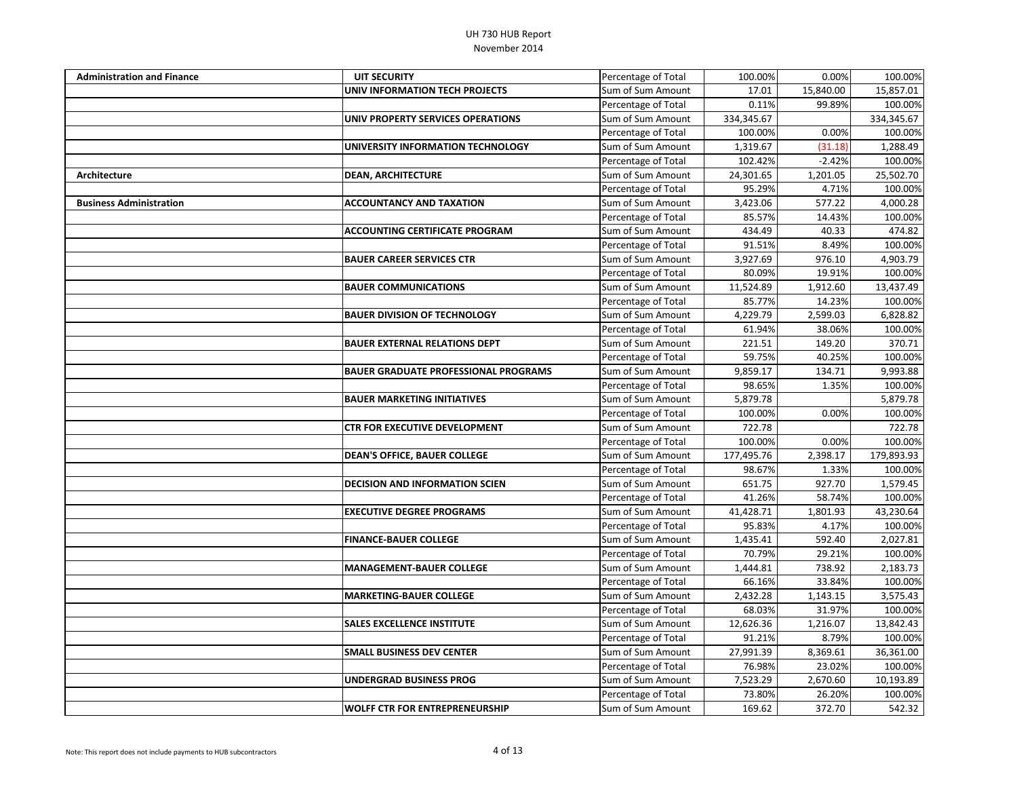| <b>Administration and Finance</b> | <b>UIT SECURITY</b>                         | Percentage of Total | 100.00%    | 0.00%     | 100.00%    |
|-----------------------------------|---------------------------------------------|---------------------|------------|-----------|------------|
|                                   | UNIV INFORMATION TECH PROJECTS              | Sum of Sum Amount   | 17.01      | 15,840.00 | 15,857.01  |
|                                   |                                             | Percentage of Total | 0.11%      | 99.89%    | 100.00%    |
|                                   | UNIV PROPERTY SERVICES OPERATIONS           | Sum of Sum Amount   | 334,345.67 |           | 334,345.67 |
|                                   |                                             | Percentage of Total | 100.00%    | 0.00%     | 100.00%    |
|                                   | UNIVERSITY INFORMATION TECHNOLOGY           | Sum of Sum Amount   | 1,319.67   | (31.18)   | 1,288.49   |
|                                   |                                             | Percentage of Total | 102.42%    | $-2.42%$  | 100.00%    |
| <b>Architecture</b>               | <b>DEAN, ARCHITECTURE</b>                   | Sum of Sum Amount   | 24,301.65  | 1,201.05  | 25,502.70  |
|                                   |                                             | Percentage of Total | 95.29%     | 4.71%     | 100.00%    |
| <b>Business Administration</b>    | <b>ACCOUNTANCY AND TAXATION</b>             | Sum of Sum Amount   | 3,423.06   | 577.22    | 4,000.28   |
|                                   |                                             | Percentage of Total | 85.57%     | 14.43%    | 100.00%    |
|                                   | <b>ACCOUNTING CERTIFICATE PROGRAM</b>       | Sum of Sum Amount   | 434.49     | 40.33     | 474.82     |
|                                   |                                             | Percentage of Total | 91.51%     | 8.49%     | 100.00%    |
|                                   | <b>BAUER CAREER SERVICES CTR</b>            | Sum of Sum Amount   | 3,927.69   | 976.10    | 4,903.79   |
|                                   |                                             | Percentage of Total | 80.09%     | 19.91%    | 100.00%    |
|                                   | <b>BAUER COMMUNICATIONS</b>                 | Sum of Sum Amount   | 11,524.89  | 1,912.60  | 13,437.49  |
|                                   |                                             | Percentage of Total | 85.77%     | 14.23%    | 100.00%    |
|                                   | <b>BAUER DIVISION OF TECHNOLOGY</b>         | Sum of Sum Amount   | 4,229.79   | 2,599.03  | 6,828.82   |
|                                   |                                             | Percentage of Total | 61.94%     | 38.06%    | 100.00%    |
|                                   | <b>BAUER EXTERNAL RELATIONS DEPT</b>        | Sum of Sum Amount   | 221.51     | 149.20    | 370.71     |
|                                   |                                             | Percentage of Total | 59.75%     | 40.25%    | 100.00%    |
|                                   | <b>BAUER GRADUATE PROFESSIONAL PROGRAMS</b> | Sum of Sum Amount   | 9,859.17   | 134.71    | 9,993.88   |
|                                   |                                             | Percentage of Total | 98.65%     | 1.35%     | 100.00%    |
|                                   | <b>BAUER MARKETING INITIATIVES</b>          | Sum of Sum Amount   | 5,879.78   |           | 5,879.78   |
|                                   |                                             | Percentage of Total | 100.00%    | 0.00%     | 100.00%    |
|                                   | CTR FOR EXECUTIVE DEVELOPMENT               | Sum of Sum Amount   | 722.78     |           | 722.78     |
|                                   |                                             | Percentage of Total | 100.00%    | 0.00%     | 100.00%    |
|                                   | <b>DEAN'S OFFICE, BAUER COLLEGE</b>         | Sum of Sum Amount   | 177,495.76 | 2,398.17  | 179,893.93 |
|                                   |                                             | Percentage of Total | 98.67%     | 1.33%     | 100.00%    |
|                                   | <b>DECISION AND INFORMATION SCIEN</b>       | Sum of Sum Amount   | 651.75     | 927.70    | 1,579.45   |
|                                   |                                             | Percentage of Total | 41.26%     | 58.74%    | 100.00%    |
|                                   | <b>EXECUTIVE DEGREE PROGRAMS</b>            | Sum of Sum Amount   | 41,428.71  | 1,801.93  | 43,230.64  |
|                                   |                                             | Percentage of Total | 95.83%     | 4.17%     | 100.00%    |
|                                   | <b>FINANCE-BAUER COLLEGE</b>                | Sum of Sum Amount   | 1,435.41   | 592.40    | 2,027.81   |
|                                   |                                             | Percentage of Total | 70.79%     | 29.21%    | 100.00%    |
|                                   | <b>MANAGEMENT-BAUER COLLEGE</b>             | Sum of Sum Amount   | 1,444.81   | 738.92    | 2,183.73   |
|                                   |                                             | Percentage of Total | 66.16%     | 33.84%    | 100.00%    |
|                                   | <b>MARKETING-BAUER COLLEGE</b>              | Sum of Sum Amount   | 2,432.28   | 1,143.15  | 3,575.43   |
|                                   |                                             | Percentage of Total | 68.03%     | 31.97%    | 100.00%    |
|                                   | <b>SALES EXCELLENCE INSTITUTE</b>           | Sum of Sum Amount   | 12,626.36  | 1,216.07  | 13,842.43  |
|                                   |                                             | Percentage of Total | 91.21%     | 8.79%     | 100.00%    |
|                                   | <b>SMALL BUSINESS DEV CENTER</b>            | Sum of Sum Amount   | 27,991.39  | 8,369.61  | 36,361.00  |
|                                   |                                             | Percentage of Total | 76.98%     | 23.02%    | 100.00%    |
|                                   | UNDERGRAD BUSINESS PROG                     | Sum of Sum Amount   | 7,523.29   | 2,670.60  | 10,193.89  |
|                                   |                                             | Percentage of Total | 73.80%     | 26.20%    | 100.00%    |
|                                   | <b>WOLFF CTR FOR ENTREPRENEURSHIP</b>       | Sum of Sum Amount   | 169.62     | 372.70    | 542.32     |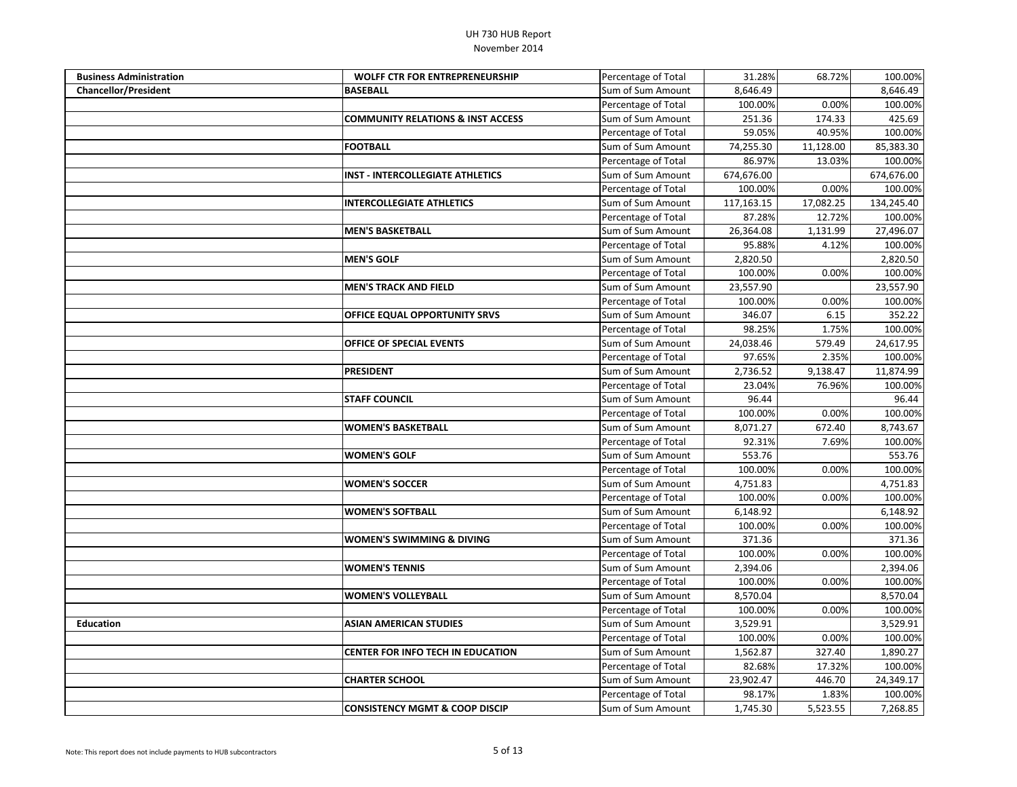| <b>Business Administration</b> | <b>WOLFF CTR FOR ENTREPRENEURSHIP</b>        | Percentage of Total | 31.28%     | 68.72%    | 100.00%    |
|--------------------------------|----------------------------------------------|---------------------|------------|-----------|------------|
| <b>Chancellor/President</b>    | <b>BASEBALL</b>                              | Sum of Sum Amount   | 8,646.49   |           | 8,646.49   |
|                                |                                              | Percentage of Total | 100.00%    | 0.00%     | 100.00%    |
|                                | <b>COMMUNITY RELATIONS &amp; INST ACCESS</b> | Sum of Sum Amount   | 251.36     | 174.33    | 425.69     |
|                                |                                              | Percentage of Total | 59.05%     | 40.95%    | 100.00%    |
|                                | <b>FOOTBALL</b>                              | Sum of Sum Amount   | 74,255.30  | 11,128.00 | 85,383.30  |
|                                |                                              | Percentage of Total | 86.97%     | 13.03%    | 100.00%    |
|                                | <b>INST - INTERCOLLEGIATE ATHLETICS</b>      | Sum of Sum Amount   | 674,676.00 |           | 674,676.00 |
|                                |                                              | Percentage of Total | 100.00%    | 0.00%     | 100.00%    |
|                                | <b>INTERCOLLEGIATE ATHLETICS</b>             | Sum of Sum Amount   | 117,163.15 | 17,082.25 | 134,245.40 |
|                                |                                              | Percentage of Total | 87.28%     | 12.72%    | 100.00%    |
|                                | <b>MEN'S BASKETBALL</b>                      | Sum of Sum Amount   | 26,364.08  | 1,131.99  | 27,496.07  |
|                                |                                              | Percentage of Total | 95.88%     | 4.12%     | 100.00%    |
|                                | <b>MEN'S GOLF</b>                            | Sum of Sum Amount   | 2,820.50   |           | 2,820.50   |
|                                |                                              | Percentage of Total | 100.00%    | 0.00%     | 100.00%    |
|                                | <b>MEN'S TRACK AND FIELD</b>                 | Sum of Sum Amount   | 23,557.90  |           | 23,557.90  |
|                                |                                              | Percentage of Total | 100.00%    | 0.00%     | 100.00%    |
|                                | OFFICE EQUAL OPPORTUNITY SRVS                | Sum of Sum Amount   | 346.07     | 6.15      | 352.22     |
|                                |                                              | Percentage of Total | 98.25%     | 1.75%     | 100.00%    |
|                                | <b>OFFICE OF SPECIAL EVENTS</b>              | Sum of Sum Amount   | 24,038.46  | 579.49    | 24,617.95  |
|                                |                                              | Percentage of Total | 97.65%     | 2.35%     | 100.00%    |
|                                | <b>PRESIDENT</b>                             | Sum of Sum Amount   | 2,736.52   | 9,138.47  | 11,874.99  |
|                                |                                              | Percentage of Total | 23.04%     | 76.96%    | 100.00%    |
|                                | <b>STAFF COUNCIL</b>                         | Sum of Sum Amount   | 96.44      |           | 96.44      |
|                                |                                              | Percentage of Total | 100.00%    | 0.00%     | 100.00%    |
|                                | <b>WOMEN'S BASKETBALL</b>                    | Sum of Sum Amount   | 8,071.27   | 672.40    | 8,743.67   |
|                                |                                              | Percentage of Total | 92.31%     | 7.69%     | 100.00%    |
|                                | <b>WOMEN'S GOLF</b>                          | Sum of Sum Amount   | 553.76     |           | 553.76     |
|                                |                                              | Percentage of Total | 100.00%    | 0.00%     | 100.00%    |
|                                | <b>WOMEN'S SOCCER</b>                        | Sum of Sum Amount   | 4,751.83   |           | 4,751.83   |
|                                |                                              | Percentage of Total | 100.00%    | 0.00%     | 100.00%    |
|                                | <b>WOMEN'S SOFTBALL</b>                      | Sum of Sum Amount   | 6,148.92   |           | 6,148.92   |
|                                |                                              | Percentage of Total | 100.00%    | 0.00%     | 100.00%    |
|                                | <b>WOMEN'S SWIMMING &amp; DIVING</b>         | Sum of Sum Amount   | 371.36     |           | 371.36     |
|                                |                                              | Percentage of Total | 100.00%    | 0.00%     | 100.00%    |
|                                | <b>WOMEN'S TENNIS</b>                        | Sum of Sum Amount   | 2,394.06   |           | 2,394.06   |
|                                |                                              | Percentage of Total | 100.00%    | 0.00%     | 100.00%    |
|                                | <b>WOMEN'S VOLLEYBALL</b>                    | Sum of Sum Amount   | 8,570.04   |           | 8,570.04   |
|                                |                                              | Percentage of Total | 100.00%    | 0.00%     | 100.00%    |
| <b>Education</b>               | <b>ASIAN AMERICAN STUDIES</b>                | Sum of Sum Amount   | 3,529.91   |           | 3,529.91   |
|                                |                                              | Percentage of Total | 100.00%    | 0.00%     | 100.00%    |
|                                | <b>CENTER FOR INFO TECH IN EDUCATION</b>     | Sum of Sum Amount   | 1,562.87   | 327.40    | 1,890.27   |
|                                |                                              | Percentage of Total | 82.68%     | 17.32%    | 100.00%    |
|                                | <b>CHARTER SCHOOL</b>                        | Sum of Sum Amount   | 23,902.47  | 446.70    | 24,349.17  |
|                                |                                              | Percentage of Total | 98.17%     | 1.83%     | 100.00%    |
|                                | <b>CONSISTENCY MGMT &amp; COOP DISCIP</b>    | Sum of Sum Amount   | 1,745.30   | 5,523.55  | 7,268.85   |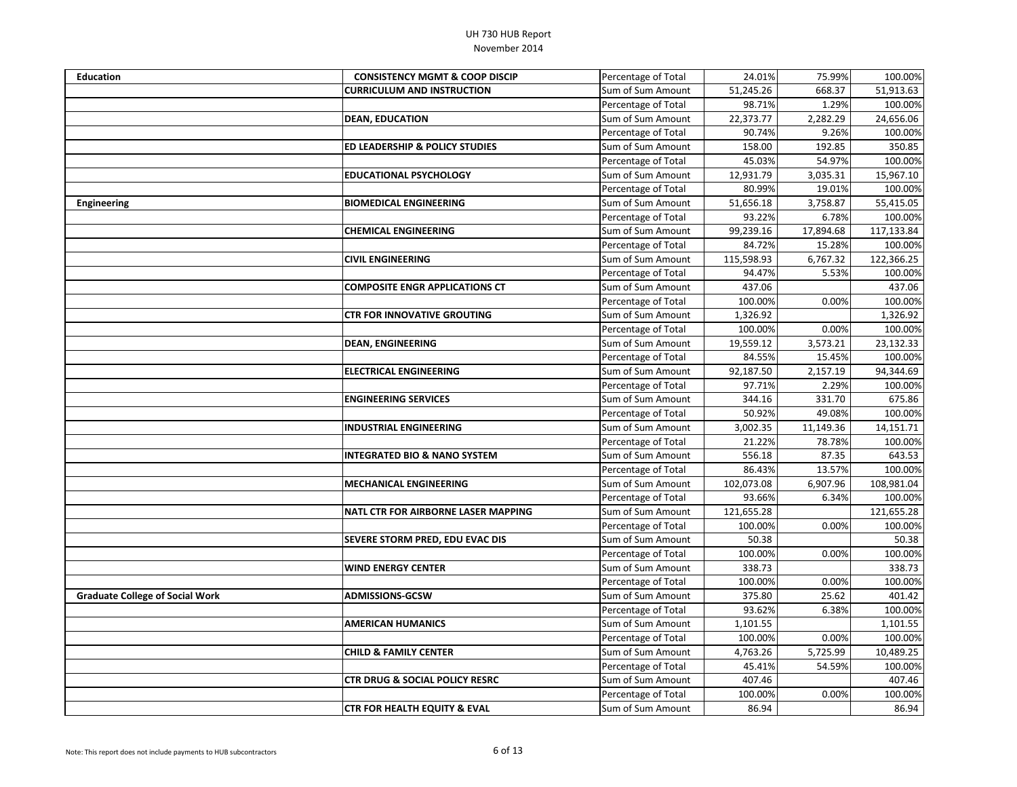| <b>Education</b>                       | <b>CONSISTENCY MGMT &amp; COOP DISCIP</b> | Percentage of Total | 24.01%     | 75.99%    | 100.00%    |
|----------------------------------------|-------------------------------------------|---------------------|------------|-----------|------------|
|                                        | <b>CURRICULUM AND INSTRUCTION</b>         | Sum of Sum Amount   | 51,245.26  | 668.37    | 51,913.63  |
|                                        |                                           | Percentage of Total | 98.71%     | 1.29%     | 100.00%    |
|                                        | <b>DEAN, EDUCATION</b>                    | Sum of Sum Amount   | 22,373.77  | 2,282.29  | 24,656.06  |
|                                        |                                           | Percentage of Total | 90.74%     | 9.26%     | 100.00%    |
|                                        | <b>ED LEADERSHIP &amp; POLICY STUDIES</b> | Sum of Sum Amount   | 158.00     | 192.85    | 350.85     |
|                                        |                                           | Percentage of Total | 45.03%     | 54.97%    | 100.00%    |
|                                        | <b>EDUCATIONAL PSYCHOLOGY</b>             | Sum of Sum Amount   | 12,931.79  | 3,035.31  | 15,967.10  |
|                                        |                                           | Percentage of Total | 80.99%     | 19.01%    | 100.00%    |
| <b>Engineering</b>                     | <b>BIOMEDICAL ENGINEERING</b>             | Sum of Sum Amount   | 51,656.18  | 3,758.87  | 55,415.05  |
|                                        |                                           | Percentage of Total | 93.22%     | 6.78%     | 100.00%    |
|                                        | <b>CHEMICAL ENGINEERING</b>               | Sum of Sum Amount   | 99,239.16  | 17,894.68 | 117,133.84 |
|                                        |                                           | Percentage of Total | 84.72%     | 15.28%    | 100.00%    |
|                                        | <b>CIVIL ENGINEERING</b>                  | Sum of Sum Amount   | 115,598.93 | 6,767.32  | 122,366.25 |
|                                        |                                           | Percentage of Total | 94.47%     | 5.53%     | 100.00%    |
|                                        | <b>COMPOSITE ENGR APPLICATIONS CT</b>     | Sum of Sum Amount   | 437.06     |           | 437.06     |
|                                        |                                           | Percentage of Total | 100.00%    | 0.00%     | 100.00%    |
|                                        | <b>CTR FOR INNOVATIVE GROUTING</b>        | Sum of Sum Amount   | 1,326.92   |           | 1,326.92   |
|                                        |                                           | Percentage of Total | 100.00%    | 0.00%     | 100.00%    |
|                                        | <b>DEAN, ENGINEERING</b>                  | Sum of Sum Amount   | 19,559.12  | 3,573.21  | 23,132.33  |
|                                        |                                           | Percentage of Total | 84.55%     | 15.45%    | 100.00%    |
|                                        | <b>ELECTRICAL ENGINEERING</b>             | Sum of Sum Amount   | 92,187.50  | 2,157.19  | 94,344.69  |
|                                        |                                           | Percentage of Total | 97.71%     | 2.29%     | 100.00%    |
|                                        | <b>ENGINEERING SERVICES</b>               | Sum of Sum Amount   | 344.16     | 331.70    | 675.86     |
|                                        |                                           | Percentage of Total | 50.92%     | 49.08%    | 100.00%    |
|                                        | <b>INDUSTRIAL ENGINEERING</b>             | Sum of Sum Amount   | 3,002.35   | 11,149.36 | 14,151.71  |
|                                        |                                           | Percentage of Total | 21.22%     | 78.78%    | 100.00%    |
|                                        | <b>INTEGRATED BIO &amp; NANO SYSTEM</b>   | Sum of Sum Amount   | 556.18     | 87.35     | 643.53     |
|                                        |                                           | Percentage of Total | 86.43%     | 13.57%    | 100.00%    |
|                                        | <b>MECHANICAL ENGINEERING</b>             | Sum of Sum Amount   | 102,073.08 | 6,907.96  | 108,981.04 |
|                                        |                                           | Percentage of Total | 93.66%     | 6.34%     | 100.00%    |
|                                        | NATL CTR FOR AIRBORNE LASER MAPPING       | Sum of Sum Amount   | 121,655.28 |           | 121,655.28 |
|                                        |                                           | Percentage of Total | 100.00%    | 0.00%     | 100.00%    |
|                                        | SEVERE STORM PRED, EDU EVAC DIS           | Sum of Sum Amount   | 50.38      |           | 50.38      |
|                                        |                                           | Percentage of Total | 100.00%    | 0.00%     | 100.00%    |
|                                        | <b>WIND ENERGY CENTER</b>                 | Sum of Sum Amount   | 338.73     |           | 338.73     |
|                                        |                                           | Percentage of Total | 100.00%    | 0.00%     | 100.00%    |
| <b>Graduate College of Social Work</b> | <b>ADMISSIONS-GCSW</b>                    | Sum of Sum Amount   | 375.80     | 25.62     | 401.42     |
|                                        |                                           | Percentage of Total | 93.62%     | 6.38%     | 100.00%    |
|                                        | <b>AMERICAN HUMANICS</b>                  | Sum of Sum Amount   | 1,101.55   |           | 1,101.55   |
|                                        |                                           | Percentage of Total | 100.00%    | 0.00%     | 100.00%    |
|                                        | <b>CHILD &amp; FAMILY CENTER</b>          | Sum of Sum Amount   | 4,763.26   | 5,725.99  | 10,489.25  |
|                                        |                                           | Percentage of Total | 45.41%     | 54.59%    | 100.00%    |
|                                        | <b>CTR DRUG &amp; SOCIAL POLICY RESRC</b> | Sum of Sum Amount   | 407.46     |           | 407.46     |
|                                        |                                           | Percentage of Total | 100.00%    | 0.00%     | 100.00%    |
|                                        | <b>CTR FOR HEALTH EQUITY &amp; EVAL</b>   | Sum of Sum Amount   | 86.94      |           | 86.94      |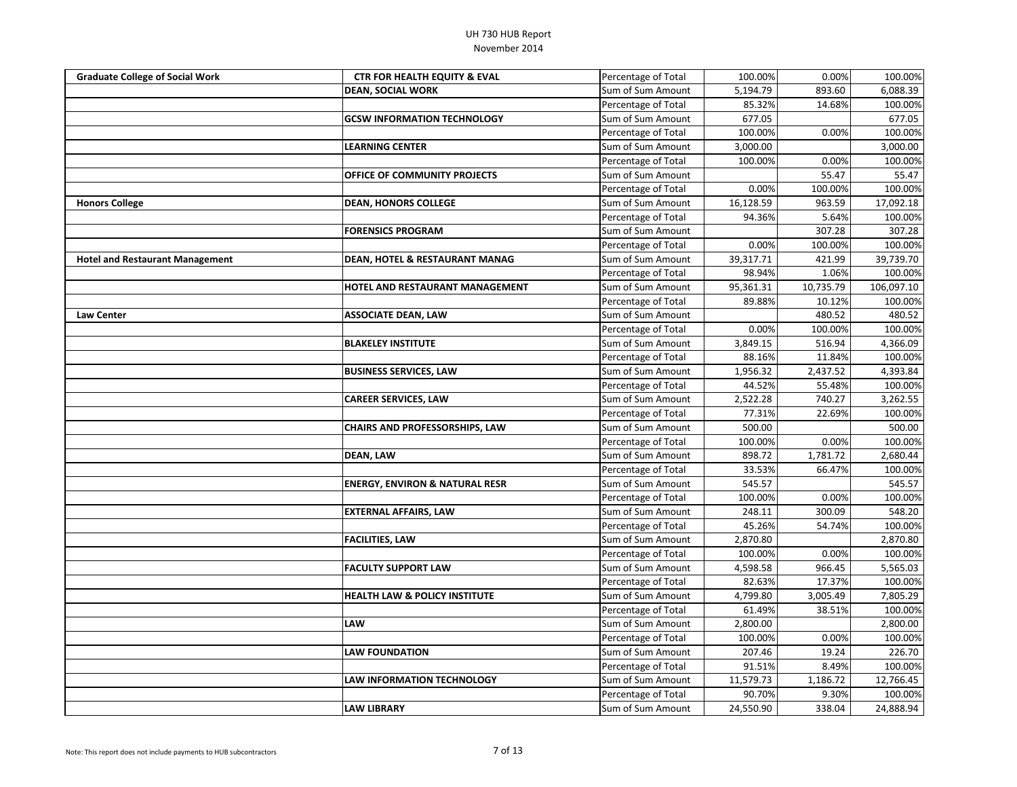| <b>Graduate College of Social Work</b> | <b>CTR FOR HEALTH EQUITY &amp; EVAL</b>   | Percentage of Total | 100.00%   | 0.00%     | 100.00%    |
|----------------------------------------|-------------------------------------------|---------------------|-----------|-----------|------------|
|                                        | <b>DEAN, SOCIAL WORK</b>                  | Sum of Sum Amount   | 5,194.79  | 893.60    | 6,088.39   |
|                                        |                                           | Percentage of Total | 85.32%    | 14.68%    | 100.00%    |
|                                        | <b>GCSW INFORMATION TECHNOLOGY</b>        | Sum of Sum Amount   | 677.05    |           | 677.05     |
|                                        |                                           | Percentage of Total | 100.00%   | 0.00%     | 100.00%    |
|                                        | <b>LEARNING CENTER</b>                    | Sum of Sum Amount   | 3,000.00  |           | 3,000.00   |
|                                        |                                           | Percentage of Total | 100.00%   | 0.00%     | 100.00%    |
|                                        | OFFICE OF COMMUNITY PROJECTS              | Sum of Sum Amount   |           | 55.47     | 55.47      |
|                                        |                                           | Percentage of Total | 0.00%     | 100.00%   | 100.00%    |
| <b>Honors College</b>                  | <b>DEAN, HONORS COLLEGE</b>               | Sum of Sum Amount   | 16,128.59 | 963.59    | 17,092.18  |
|                                        |                                           | Percentage of Total | 94.36%    | 5.64%     | 100.00%    |
|                                        | <b>FORENSICS PROGRAM</b>                  | Sum of Sum Amount   |           | 307.28    | 307.28     |
|                                        |                                           | Percentage of Total | 0.00%     | 100.00%   | 100.00%    |
| <b>Hotel and Restaurant Management</b> | <b>DEAN, HOTEL &amp; RESTAURANT MANAG</b> | Sum of Sum Amount   | 39,317.71 | 421.99    | 39,739.70  |
|                                        |                                           | Percentage of Total | 98.94%    | 1.06%     | 100.00%    |
|                                        | HOTEL AND RESTAURANT MANAGEMENT           | Sum of Sum Amount   | 95,361.31 | 10,735.79 | 106,097.10 |
|                                        |                                           | Percentage of Total | 89.88%    | 10.12%    | 100.00%    |
| <b>Law Center</b>                      | <b>ASSOCIATE DEAN, LAW</b>                | Sum of Sum Amount   |           | 480.52    | 480.52     |
|                                        |                                           | Percentage of Total | 0.00%     | 100.00%   | 100.00%    |
|                                        | <b>BLAKELEY INSTITUTE</b>                 | Sum of Sum Amount   | 3,849.15  | 516.94    | 4,366.09   |
|                                        |                                           | Percentage of Total | 88.16%    | 11.84%    | 100.00%    |
|                                        | <b>BUSINESS SERVICES, LAW</b>             | Sum of Sum Amount   | 1,956.32  | 2,437.52  | 4,393.84   |
|                                        |                                           | Percentage of Total | 44.52%    | 55.48%    | 100.00%    |
|                                        | <b>CAREER SERVICES, LAW</b>               | Sum of Sum Amount   | 2,522.28  | 740.27    | 3,262.55   |
|                                        |                                           | Percentage of Total | 77.31%    | 22.69%    | 100.00%    |
|                                        | CHAIRS AND PROFESSORSHIPS, LAW            | Sum of Sum Amount   | 500.00    |           | 500.00     |
|                                        |                                           | Percentage of Total | 100.00%   | 0.00%     | 100.00%    |
|                                        | <b>DEAN, LAW</b>                          | Sum of Sum Amount   | 898.72    | 1,781.72  | 2,680.44   |
|                                        |                                           | Percentage of Total | 33.53%    | 66.47%    | 100.00%    |
|                                        | <b>ENERGY, ENVIRON &amp; NATURAL RESR</b> | Sum of Sum Amount   | 545.57    |           | 545.57     |
|                                        |                                           | Percentage of Total | 100.00%   | 0.00%     | 100.00%    |
|                                        | <b>EXTERNAL AFFAIRS, LAW</b>              | Sum of Sum Amount   | 248.11    | 300.09    | 548.20     |
|                                        |                                           | Percentage of Total | 45.26%    | 54.74%    | 100.00%    |
|                                        | <b>FACILITIES, LAW</b>                    | Sum of Sum Amount   | 2,870.80  |           | 2,870.80   |
|                                        |                                           | Percentage of Total | 100.00%   | 0.00%     | 100.00%    |
|                                        | <b>FACULTY SUPPORT LAW</b>                | Sum of Sum Amount   | 4,598.58  | 966.45    | 5,565.03   |
|                                        |                                           | Percentage of Total | 82.63%    | 17.37%    | 100.00%    |
|                                        | <b>HEALTH LAW &amp; POLICY INSTITUTE</b>  | Sum of Sum Amount   | 4,799.80  | 3,005.49  | 7,805.29   |
|                                        |                                           | Percentage of Total | 61.49%    | 38.51%    | 100.00%    |
|                                        | <b>LAW</b>                                | Sum of Sum Amount   | 2,800.00  |           | 2,800.00   |
|                                        |                                           | Percentage of Total | 100.00%   | 0.00%     | 100.00%    |
|                                        | <b>LAW FOUNDATION</b>                     | Sum of Sum Amount   | 207.46    | 19.24     | 226.70     |
|                                        |                                           | Percentage of Total | 91.51%    | 8.49%     | 100.00%    |
|                                        | LAW INFORMATION TECHNOLOGY                | Sum of Sum Amount   | 11,579.73 | 1,186.72  | 12,766.45  |
|                                        |                                           | Percentage of Total | 90.70%    | 9.30%     | 100.00%    |
|                                        | <b>LAW LIBRARY</b>                        | Sum of Sum Amount   | 24,550.90 | 338.04    | 24,888.94  |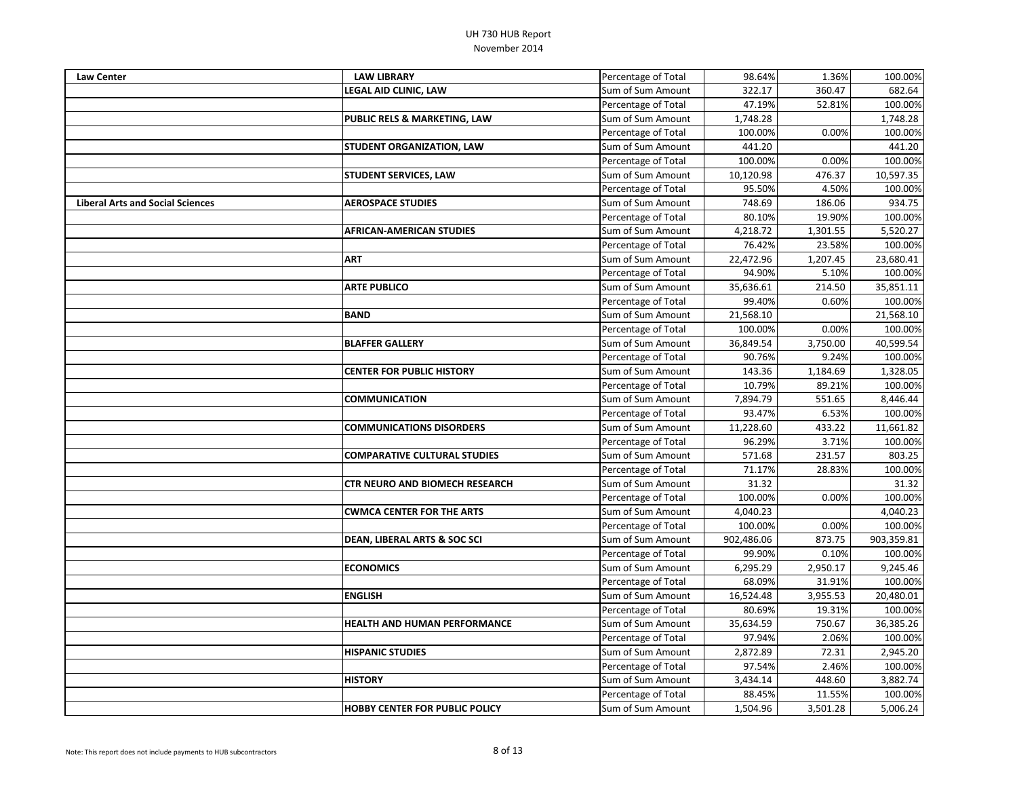| <b>Law Center</b>                       | <b>LAW LIBRARY</b>                      | Percentage of Total | 98.64%     | 1.36%    | 100.00%    |
|-----------------------------------------|-----------------------------------------|---------------------|------------|----------|------------|
|                                         | <b>LEGAL AID CLINIC, LAW</b>            | Sum of Sum Amount   | 322.17     | 360.47   | 682.64     |
|                                         |                                         | Percentage of Total | 47.19%     | 52.81%   | 100.00%    |
|                                         | <b>PUBLIC RELS &amp; MARKETING, LAW</b> | Sum of Sum Amount   | 1,748.28   |          | 1,748.28   |
|                                         |                                         | Percentage of Total | 100.00%    | 0.00%    | 100.00%    |
|                                         | <b>STUDENT ORGANIZATION, LAW</b>        | Sum of Sum Amount   | 441.20     |          | 441.20     |
|                                         |                                         | Percentage of Total | 100.00%    | 0.00%    | 100.00%    |
|                                         | <b>STUDENT SERVICES, LAW</b>            | Sum of Sum Amount   | 10,120.98  | 476.37   | 10,597.35  |
|                                         |                                         | Percentage of Total | 95.50%     | 4.50%    | 100.00%    |
| <b>Liberal Arts and Social Sciences</b> | <b>AEROSPACE STUDIES</b>                | Sum of Sum Amount   | 748.69     | 186.06   | 934.75     |
|                                         |                                         | Percentage of Total | 80.10%     | 19.90%   | 100.00%    |
|                                         | <b>AFRICAN-AMERICAN STUDIES</b>         | Sum of Sum Amount   | 4,218.72   | 1,301.55 | 5,520.27   |
|                                         |                                         | Percentage of Total | 76.42%     | 23.58%   | 100.00%    |
|                                         | <b>ART</b>                              | Sum of Sum Amount   | 22,472.96  | 1,207.45 | 23,680.41  |
|                                         |                                         | Percentage of Total | 94.90%     | 5.10%    | 100.00%    |
|                                         | <b>ARTE PUBLICO</b>                     | Sum of Sum Amount   | 35,636.61  | 214.50   | 35,851.11  |
|                                         |                                         | Percentage of Total | 99.40%     | 0.60%    | 100.00%    |
|                                         | <b>BAND</b>                             | Sum of Sum Amount   | 21,568.10  |          | 21,568.10  |
|                                         |                                         | Percentage of Total | 100.00%    | 0.00%    | 100.00%    |
|                                         | <b>BLAFFER GALLERY</b>                  | Sum of Sum Amount   | 36,849.54  | 3,750.00 | 40,599.54  |
|                                         |                                         | Percentage of Total | 90.76%     | 9.24%    | 100.00%    |
|                                         | <b>CENTER FOR PUBLIC HISTORY</b>        | Sum of Sum Amount   | 143.36     | 1,184.69 | 1,328.05   |
|                                         |                                         | Percentage of Total | 10.79%     | 89.21%   | 100.00%    |
|                                         | <b>COMMUNICATION</b>                    | Sum of Sum Amount   | 7,894.79   | 551.65   | 8,446.44   |
|                                         |                                         | Percentage of Total | 93.47%     | 6.53%    | 100.00%    |
|                                         | <b>COMMUNICATIONS DISORDERS</b>         | Sum of Sum Amount   | 11,228.60  | 433.22   | 11,661.82  |
|                                         |                                         | Percentage of Total | 96.29%     | 3.71%    | 100.00%    |
|                                         | <b>COMPARATIVE CULTURAL STUDIES</b>     | Sum of Sum Amount   | 571.68     | 231.57   | 803.25     |
|                                         |                                         | Percentage of Total | 71.17%     | 28.83%   | 100.00%    |
|                                         | <b>CTR NEURO AND BIOMECH RESEARCH</b>   | Sum of Sum Amount   | 31.32      |          | 31.32      |
|                                         |                                         | Percentage of Total | 100.00%    | 0.00%    | 100.00%    |
|                                         | <b>CWMCA CENTER FOR THE ARTS</b>        | Sum of Sum Amount   | 4,040.23   |          | 4,040.23   |
|                                         |                                         | Percentage of Total | 100.00%    | 0.00%    | 100.00%    |
|                                         | <b>DEAN, LIBERAL ARTS &amp; SOC SCI</b> | Sum of Sum Amount   | 902,486.06 | 873.75   | 903,359.81 |
|                                         |                                         | Percentage of Total | 99.90%     | 0.10%    | 100.00%    |
|                                         | <b>ECONOMICS</b>                        | Sum of Sum Amount   | 6,295.29   | 2,950.17 | 9,245.46   |
|                                         |                                         | Percentage of Total | 68.09%     | 31.91%   | 100.00%    |
|                                         | <b>ENGLISH</b>                          | Sum of Sum Amount   | 16,524.48  | 3,955.53 | 20,480.01  |
|                                         |                                         | Percentage of Total | 80.69%     | 19.31%   | 100.00%    |
|                                         | <b>HEALTH AND HUMAN PERFORMANCE</b>     | Sum of Sum Amount   | 35,634.59  | 750.67   | 36,385.26  |
|                                         |                                         | Percentage of Total | 97.94%     | 2.06%    | 100.00%    |
|                                         | <b>HISPANIC STUDIES</b>                 | Sum of Sum Amount   | 2,872.89   | 72.31    | 2,945.20   |
|                                         |                                         | Percentage of Total | 97.54%     | 2.46%    | 100.00%    |
|                                         | <b>HISTORY</b>                          | Sum of Sum Amount   | 3,434.14   | 448.60   | 3,882.74   |
|                                         |                                         | Percentage of Total | 88.45%     | 11.55%   | 100.00%    |
|                                         | <b>HOBBY CENTER FOR PUBLIC POLICY</b>   | Sum of Sum Amount   | 1,504.96   | 3,501.28 | 5,006.24   |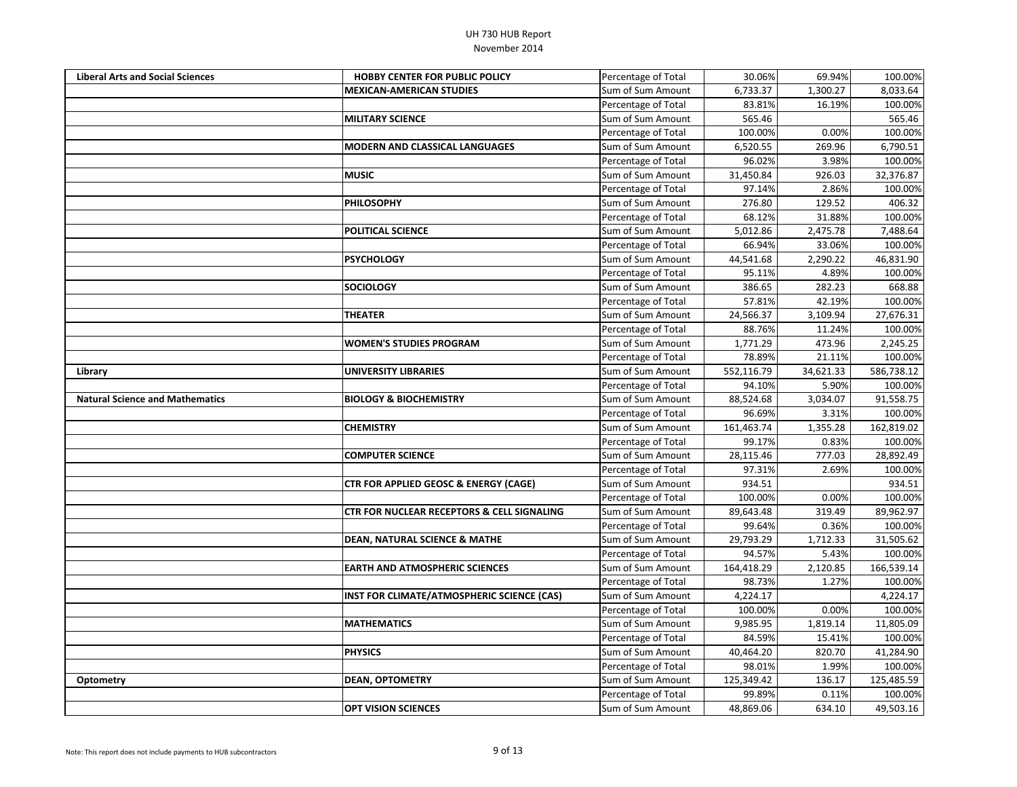| <b>Liberal Arts and Social Sciences</b> | <b>HOBBY CENTER FOR PUBLIC POLICY</b>                 | Percentage of Total | 30.06%     | 69.94%    | 100.00%    |
|-----------------------------------------|-------------------------------------------------------|---------------------|------------|-----------|------------|
|                                         | <b>MEXICAN-AMERICAN STUDIES</b>                       | Sum of Sum Amount   | 6,733.37   | 1,300.27  | 8,033.64   |
|                                         |                                                       | Percentage of Total | 83.81%     | 16.19%    | 100.00%    |
|                                         | <b>MILITARY SCIENCE</b>                               | Sum of Sum Amount   | 565.46     |           | 565.46     |
|                                         |                                                       | Percentage of Total | 100.00%    | 0.00%     | 100.00%    |
|                                         | <b>MODERN AND CLASSICAL LANGUAGES</b>                 | Sum of Sum Amount   | 6,520.55   | 269.96    | 6,790.51   |
|                                         |                                                       | Percentage of Total | 96.02%     | 3.98%     | 100.00%    |
|                                         | <b>MUSIC</b>                                          | Sum of Sum Amount   | 31,450.84  | 926.03    | 32,376.87  |
|                                         |                                                       | Percentage of Total | 97.14%     | 2.86%     | 100.00%    |
|                                         | <b>PHILOSOPHY</b>                                     | Sum of Sum Amount   | 276.80     | 129.52    | 406.32     |
|                                         |                                                       | Percentage of Total | 68.12%     | 31.88%    | 100.00%    |
|                                         | <b>POLITICAL SCIENCE</b>                              | Sum of Sum Amount   | 5,012.86   | 2,475.78  | 7,488.64   |
|                                         |                                                       | Percentage of Total | 66.94%     | 33.06%    | 100.00%    |
|                                         | <b>PSYCHOLOGY</b>                                     | Sum of Sum Amount   | 44,541.68  | 2,290.22  | 46,831.90  |
|                                         |                                                       | Percentage of Total | 95.11%     | 4.89%     | 100.00%    |
|                                         | <b>SOCIOLOGY</b>                                      | Sum of Sum Amount   | 386.65     | 282.23    | 668.88     |
|                                         |                                                       | Percentage of Total | 57.81%     | 42.19%    | 100.00%    |
|                                         | <b>THEATER</b>                                        | Sum of Sum Amount   | 24,566.37  | 3,109.94  | 27,676.31  |
|                                         |                                                       | Percentage of Total | 88.76%     | 11.24%    | 100.00%    |
|                                         | <b>WOMEN'S STUDIES PROGRAM</b>                        | Sum of Sum Amount   | 1,771.29   | 473.96    | 2,245.25   |
|                                         |                                                       | Percentage of Total | 78.89%     | 21.11%    | 100.00%    |
| Library                                 | <b>UNIVERSITY LIBRARIES</b>                           | Sum of Sum Amount   | 552,116.79 | 34,621.33 | 586,738.12 |
|                                         |                                                       | Percentage of Total | 94.10%     | 5.90%     | 100.00%    |
| <b>Natural Science and Mathematics</b>  | <b>BIOLOGY &amp; BIOCHEMISTRY</b>                     | Sum of Sum Amount   | 88,524.68  | 3,034.07  | 91,558.75  |
|                                         |                                                       | Percentage of Total | 96.69%     | 3.31%     | 100.00%    |
|                                         | <b>CHEMISTRY</b>                                      | Sum of Sum Amount   | 161,463.74 | 1,355.28  | 162,819.02 |
|                                         |                                                       | Percentage of Total | 99.17%     | 0.83%     | 100.00%    |
|                                         | <b>COMPUTER SCIENCE</b>                               | Sum of Sum Amount   | 28,115.46  | 777.03    | 28,892.49  |
|                                         |                                                       | Percentage of Total | 97.31%     | 2.69%     | 100.00%    |
|                                         | <b>CTR FOR APPLIED GEOSC &amp; ENERGY (CAGE)</b>      | Sum of Sum Amount   | 934.51     |           | 934.51     |
|                                         |                                                       | Percentage of Total | 100.00%    | 0.00%     | 100.00%    |
|                                         | <b>CTR FOR NUCLEAR RECEPTORS &amp; CELL SIGNALING</b> | Sum of Sum Amount   | 89,643.48  | 319.49    | 89,962.97  |
|                                         |                                                       | Percentage of Total | 99.64%     | 0.36%     | 100.00%    |
|                                         | <b>DEAN, NATURAL SCIENCE &amp; MATHE</b>              | Sum of Sum Amount   | 29,793.29  | 1,712.33  | 31,505.62  |
|                                         |                                                       | Percentage of Total | 94.57%     | 5.43%     | 100.00%    |
|                                         | <b>EARTH AND ATMOSPHERIC SCIENCES</b>                 | Sum of Sum Amount   | 164,418.29 | 2,120.85  | 166,539.14 |
|                                         |                                                       | Percentage of Total | 98.73%     | 1.27%     | 100.00%    |
|                                         | INST FOR CLIMATE/ATMOSPHERIC SCIENCE (CAS)            | Sum of Sum Amount   | 4,224.17   |           | 4,224.17   |
|                                         |                                                       | Percentage of Total | 100.00%    | 0.00%     | 100.00%    |
|                                         | <b>MATHEMATICS</b>                                    | Sum of Sum Amount   | 9,985.95   | 1,819.14  | 11,805.09  |
|                                         |                                                       | Percentage of Total | 84.59%     | 15.41%    | 100.00%    |
|                                         | <b>PHYSICS</b>                                        | Sum of Sum Amount   | 40,464.20  | 820.70    | 41,284.90  |
|                                         |                                                       | Percentage of Total | 98.01%     | 1.99%     | 100.00%    |
| <b>Optometry</b>                        | <b>DEAN, OPTOMETRY</b>                                | Sum of Sum Amount   | 125,349.42 | 136.17    | 125,485.59 |
|                                         |                                                       | Percentage of Total | 99.89%     | 0.11%     | 100.00%    |
|                                         | <b>OPT VISION SCIENCES</b>                            | Sum of Sum Amount   | 48,869.06  | 634.10    | 49,503.16  |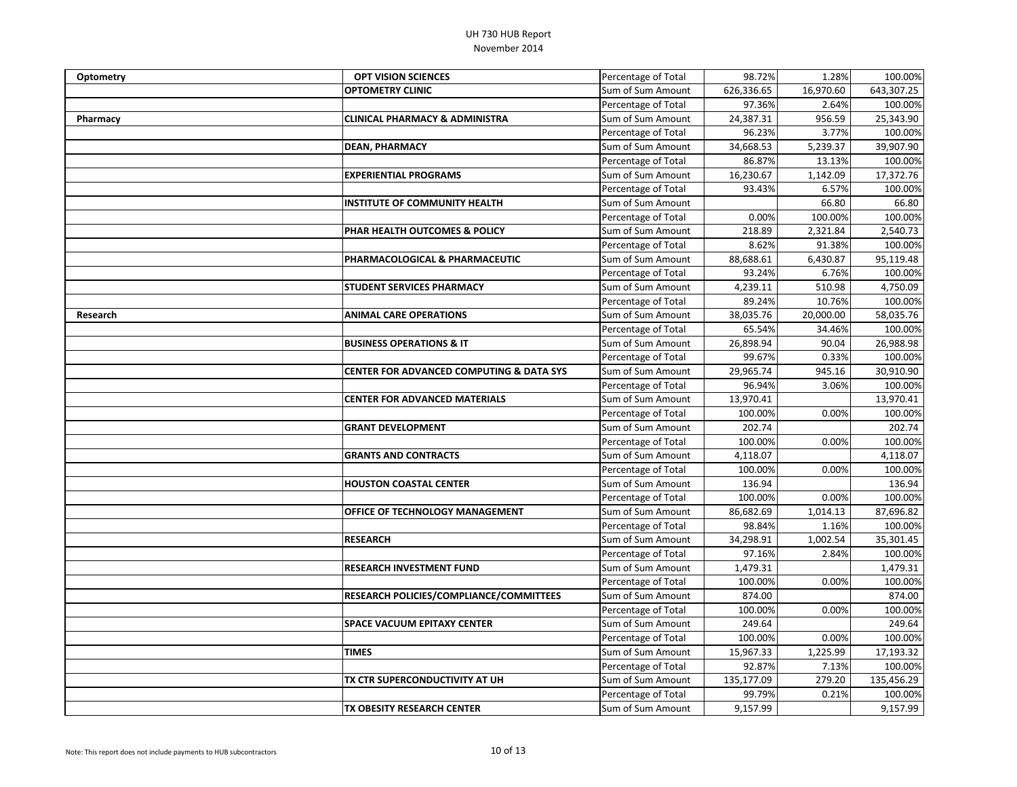| Optometry | <b>OPT VISION SCIENCES</b>                          | Percentage of Total | 98.72%     | 1.28%     | 100.00%    |
|-----------|-----------------------------------------------------|---------------------|------------|-----------|------------|
|           | <b>OPTOMETRY CLINIC</b>                             | Sum of Sum Amount   | 626,336.65 | 16,970.60 | 643,307.25 |
|           |                                                     | Percentage of Total | 97.36%     | 2.64%     | 100.00%    |
| Pharmacy  | <b>CLINICAL PHARMACY &amp; ADMINISTRA</b>           | Sum of Sum Amount   | 24,387.31  | 956.59    | 25,343.90  |
|           |                                                     | Percentage of Total | 96.23%     | 3.77%     | 100.00%    |
|           | <b>DEAN, PHARMACY</b>                               | Sum of Sum Amount   | 34,668.53  | 5,239.37  | 39,907.90  |
|           |                                                     | Percentage of Total | 86.87%     | 13.13%    | 100.00%    |
|           | <b>EXPERIENTIAL PROGRAMS</b>                        | Sum of Sum Amount   | 16,230.67  | 1,142.09  | 17,372.76  |
|           |                                                     | Percentage of Total | 93.43%     | 6.57%     | 100.00%    |
|           | <b>INSTITUTE OF COMMUNITY HEALTH</b>                | Sum of Sum Amount   |            | 66.80     | 66.80      |
|           |                                                     | Percentage of Total | 0.00%      | 100.00%   | 100.00%    |
|           | PHAR HEALTH OUTCOMES & POLICY                       | Sum of Sum Amount   | 218.89     | 2,321.84  | 2,540.73   |
|           |                                                     | Percentage of Total | 8.62%      | 91.38%    | 100.00%    |
|           | PHARMACOLOGICAL & PHARMACEUTIC                      | Sum of Sum Amount   | 88,688.61  | 6,430.87  | 95,119.48  |
|           |                                                     | Percentage of Total | 93.24%     | 6.76%     | 100.00%    |
|           | <b>STUDENT SERVICES PHARMACY</b>                    | Sum of Sum Amount   | 4,239.11   | 510.98    | 4,750.09   |
|           |                                                     | Percentage of Total | 89.24%     | 10.76%    | 100.00%    |
| Research  | <b>ANIMAL CARE OPERATIONS</b>                       | Sum of Sum Amount   | 38,035.76  | 20,000.00 | 58,035.76  |
|           |                                                     | Percentage of Total | 65.54%     | 34.46%    | 100.00%    |
|           | <b>BUSINESS OPERATIONS &amp; IT</b>                 | Sum of Sum Amount   | 26,898.94  | 90.04     | 26,988.98  |
|           |                                                     | Percentage of Total | 99.67%     | 0.33%     | 100.00%    |
|           | <b>CENTER FOR ADVANCED COMPUTING &amp; DATA SYS</b> | Sum of Sum Amount   | 29,965.74  | 945.16    | 30,910.90  |
|           |                                                     | Percentage of Total | 96.94%     | 3.06%     | 100.00%    |
|           | <b>CENTER FOR ADVANCED MATERIALS</b>                | Sum of Sum Amount   | 13,970.41  |           | 13,970.41  |
|           |                                                     | Percentage of Total | 100.00%    | 0.00%     | 100.00%    |
|           | <b>GRANT DEVELOPMENT</b>                            | Sum of Sum Amount   | 202.74     |           | 202.74     |
|           |                                                     | Percentage of Total | 100.00%    | 0.00%     | 100.00%    |
|           | <b>GRANTS AND CONTRACTS</b>                         | Sum of Sum Amount   | 4,118.07   |           | 4,118.07   |
|           |                                                     | Percentage of Total | 100.00%    | 0.00%     | 100.00%    |
|           | <b>HOUSTON COASTAL CENTER</b>                       | Sum of Sum Amount   | 136.94     |           | 136.94     |
|           |                                                     | Percentage of Total | 100.00%    | 0.00%     | 100.00%    |
|           | <b>OFFICE OF TECHNOLOGY MANAGEMENT</b>              | Sum of Sum Amount   | 86,682.69  | 1,014.13  | 87,696.82  |
|           |                                                     | Percentage of Total | 98.84%     | 1.16%     | 100.00%    |
|           | <b>RESEARCH</b>                                     | Sum of Sum Amount   | 34,298.91  | 1,002.54  | 35,301.45  |
|           |                                                     | Percentage of Total | 97.16%     | 2.84%     | 100.00%    |
|           | <b>RESEARCH INVESTMENT FUND</b>                     | Sum of Sum Amount   | 1,479.31   |           | 1,479.31   |
|           |                                                     | Percentage of Total | 100.00%    | 0.00%     | 100.00%    |
|           | <b>RESEARCH POLICIES/COMPLIANCE/COMMITTEES</b>      | Sum of Sum Amount   | 874.00     |           | 874.00     |
|           |                                                     | Percentage of Total | 100.00%    | 0.00%     | 100.00%    |
|           | <b>SPACE VACUUM EPITAXY CENTER</b>                  | Sum of Sum Amount   | 249.64     |           | 249.64     |
|           |                                                     | Percentage of Total | 100.00%    | 0.00%     | 100.00%    |
|           | <b>TIMES</b>                                        | Sum of Sum Amount   | 15,967.33  | 1,225.99  | 17,193.32  |
|           |                                                     | Percentage of Total | 92.87%     | 7.13%     | 100.00%    |
|           | TX CTR SUPERCONDUCTIVITY AT UH                      | Sum of Sum Amount   | 135,177.09 | 279.20    | 135,456.29 |
|           |                                                     | Percentage of Total | 99.79%     | 0.21%     | 100.00%    |
|           | TX OBESITY RESEARCH CENTER                          | Sum of Sum Amount   | 9,157.99   |           | 9,157.99   |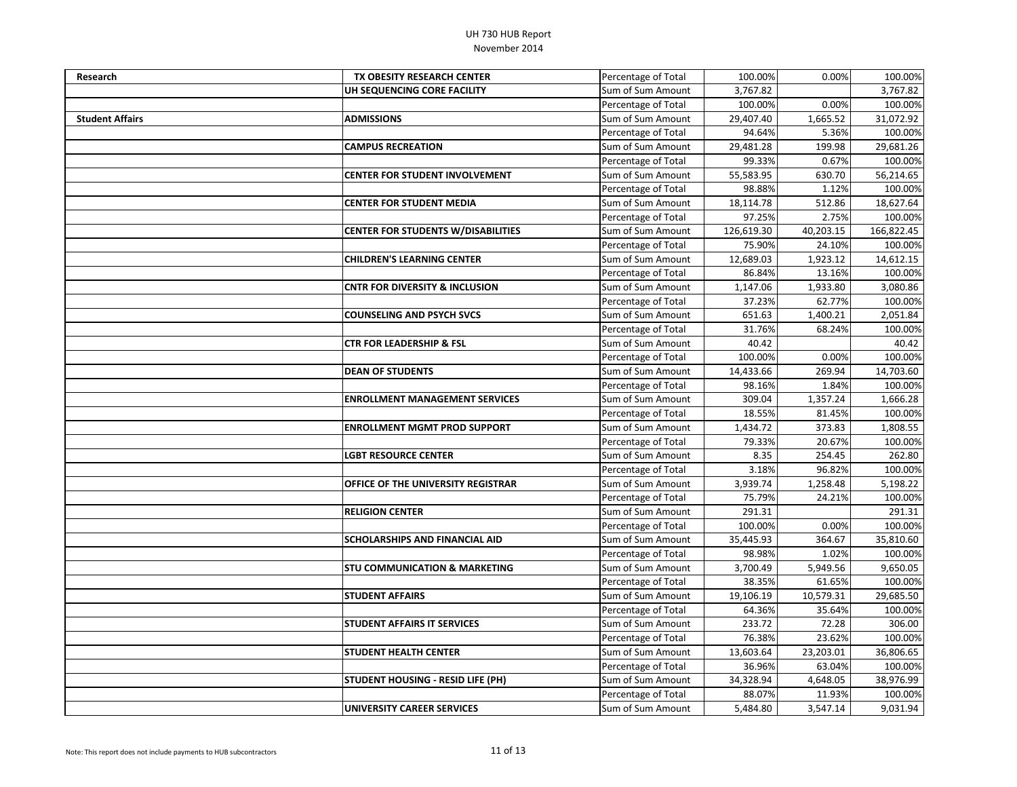| <b>Research</b>        | TX OBESITY RESEARCH CENTER                | Percentage of Total | 100.00%    | 0.00%     | 100.00%    |
|------------------------|-------------------------------------------|---------------------|------------|-----------|------------|
|                        | UH SEQUENCING CORE FACILITY               | Sum of Sum Amount   | 3,767.82   |           | 3,767.82   |
|                        |                                           | Percentage of Total | 100.00%    | 0.00%     | 100.00%    |
| <b>Student Affairs</b> | <b>ADMISSIONS</b>                         | Sum of Sum Amount   | 29,407.40  | 1,665.52  | 31,072.92  |
|                        |                                           | Percentage of Total | 94.64%     | 5.36%     | 100.00%    |
|                        | <b>CAMPUS RECREATION</b>                  | Sum of Sum Amount   | 29,481.28  | 199.98    | 29,681.26  |
|                        |                                           | Percentage of Total | 99.33%     | 0.67%     | 100.00%    |
|                        | <b>CENTER FOR STUDENT INVOLVEMENT</b>     | Sum of Sum Amount   | 55,583.95  | 630.70    | 56,214.65  |
|                        |                                           | Percentage of Total | 98.88%     | 1.12%     | 100.00%    |
|                        | <b>CENTER FOR STUDENT MEDIA</b>           | Sum of Sum Amount   | 18,114.78  | 512.86    | 18,627.64  |
|                        |                                           | Percentage of Total | 97.25%     | 2.75%     | 100.00%    |
|                        | <b>CENTER FOR STUDENTS W/DISABILITIES</b> | Sum of Sum Amount   | 126,619.30 | 40,203.15 | 166,822.45 |
|                        |                                           | Percentage of Total | 75.90%     | 24.10%    | 100.00%    |
|                        | <b>CHILDREN'S LEARNING CENTER</b>         | Sum of Sum Amount   | 12,689.03  | 1,923.12  | 14,612.15  |
|                        |                                           | Percentage of Total | 86.84%     | 13.16%    | 100.00%    |
|                        | <b>CNTR FOR DIVERSITY &amp; INCLUSION</b> | Sum of Sum Amount   | 1,147.06   | 1,933.80  | 3,080.86   |
|                        |                                           | Percentage of Total | 37.23%     | 62.77%    | 100.00%    |
|                        | <b>COUNSELING AND PSYCH SVCS</b>          | Sum of Sum Amount   | 651.63     | 1,400.21  | 2,051.84   |
|                        |                                           | Percentage of Total | 31.76%     | 68.24%    | 100.00%    |
|                        | <b>CTR FOR LEADERSHIP &amp; FSL</b>       | Sum of Sum Amount   | 40.42      |           | 40.42      |
|                        |                                           | Percentage of Total | 100.00%    | 0.00%     | 100.00%    |
|                        | <b>DEAN OF STUDENTS</b>                   | Sum of Sum Amount   | 14,433.66  | 269.94    | 14,703.60  |
|                        |                                           | Percentage of Total | 98.16%     | 1.84%     | 100.00%    |
|                        | <b>ENROLLMENT MANAGEMENT SERVICES</b>     | Sum of Sum Amount   | 309.04     | 1,357.24  | 1,666.28   |
|                        |                                           | Percentage of Total | 18.55%     | 81.45%    | 100.00%    |
|                        | <b>ENROLLMENT MGMT PROD SUPPORT</b>       | Sum of Sum Amount   | 1,434.72   | 373.83    | 1,808.55   |
|                        |                                           | Percentage of Total | 79.33%     | 20.67%    | 100.00%    |
|                        | <b>LGBT RESOURCE CENTER</b>               | Sum of Sum Amount   | 8.35       | 254.45    | 262.80     |
|                        |                                           | Percentage of Total | 3.18%      | 96.82%    | 100.00%    |
|                        | <b>OFFICE OF THE UNIVERSITY REGISTRAR</b> | Sum of Sum Amount   | 3,939.74   | 1,258.48  | 5,198.22   |
|                        |                                           | Percentage of Total | 75.79%     | 24.21%    | 100.00%    |
|                        | <b>RELIGION CENTER</b>                    | Sum of Sum Amount   | 291.31     |           | 291.31     |
|                        |                                           | Percentage of Total | 100.00%    | 0.00%     | 100.00%    |
|                        | <b>SCHOLARSHIPS AND FINANCIAL AID</b>     | Sum of Sum Amount   | 35,445.93  | 364.67    | 35,810.60  |
|                        |                                           | Percentage of Total | 98.98%     | 1.02%     | 100.00%    |
|                        | <b>STU COMMUNICATION &amp; MARKETING</b>  | Sum of Sum Amount   | 3,700.49   | 5,949.56  | 9,650.05   |
|                        |                                           | Percentage of Total | 38.35%     | 61.65%    | 100.00%    |
|                        | <b>STUDENT AFFAIRS</b>                    | Sum of Sum Amount   | 19,106.19  | 10,579.31 | 29,685.50  |
|                        |                                           | Percentage of Total | 64.36%     | 35.64%    | 100.00%    |
|                        | <b>STUDENT AFFAIRS IT SERVICES</b>        | Sum of Sum Amount   | 233.72     | 72.28     | 306.00     |
|                        |                                           | Percentage of Total | 76.38%     | 23.62%    | 100.00%    |
|                        | <b>STUDENT HEALTH CENTER</b>              | Sum of Sum Amount   | 13,603.64  | 23,203.01 | 36,806.65  |
|                        |                                           | Percentage of Total | 36.96%     | 63.04%    | 100.00%    |
|                        | <b>STUDENT HOUSING - RESID LIFE (PH)</b>  | Sum of Sum Amount   | 34,328.94  | 4,648.05  | 38,976.99  |
|                        |                                           | Percentage of Total | 88.07%     | 11.93%    | 100.00%    |
|                        | <b>UNIVERSITY CAREER SERVICES</b>         | Sum of Sum Amount   | 5,484.80   | 3,547.14  | 9,031.94   |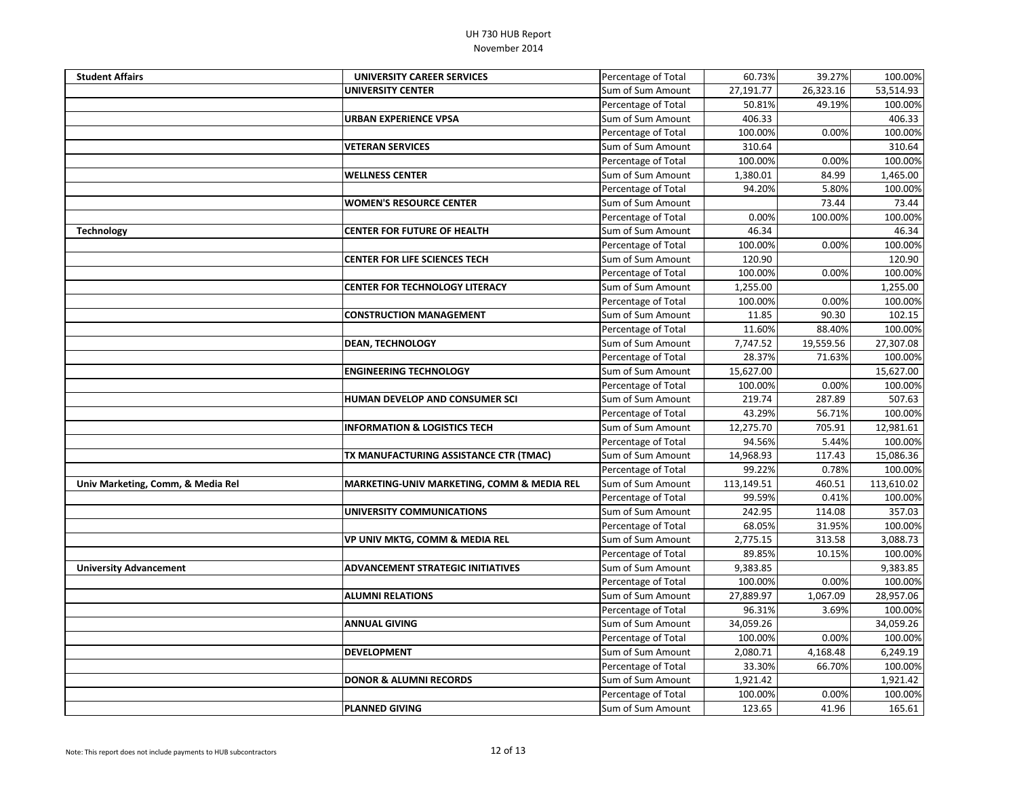| <b>Student Affairs</b>            | UNIVERSITY CAREER SERVICES                 | Percentage of Total | 60.73%     | 39.27%    | 100.00%    |
|-----------------------------------|--------------------------------------------|---------------------|------------|-----------|------------|
|                                   | UNIVERSITY CENTER                          | Sum of Sum Amount   | 27,191.77  | 26,323.16 | 53,514.93  |
|                                   |                                            | Percentage of Total | 50.81%     | 49.19%    | 100.00%    |
|                                   | URBAN EXPERIENCE VPSA                      | Sum of Sum Amount   | 406.33     |           | 406.33     |
|                                   |                                            | Percentage of Total | 100.00%    | 0.00%     | 100.00%    |
|                                   | <b>VETERAN SERVICES</b>                    | Sum of Sum Amount   | 310.64     |           | 310.64     |
|                                   |                                            | Percentage of Total | 100.00%    | 0.00%     | 100.00%    |
|                                   | <b>WELLNESS CENTER</b>                     | Sum of Sum Amount   | 1,380.01   | 84.99     | 1,465.00   |
|                                   |                                            | Percentage of Total | 94.20%     | 5.80%     | 100.00%    |
|                                   | <b>WOMEN'S RESOURCE CENTER</b>             | Sum of Sum Amount   |            | 73.44     | 73.44      |
|                                   |                                            | Percentage of Total | 0.00%      | 100.00%   | 100.00%    |
| <b>Technology</b>                 | <b>CENTER FOR FUTURE OF HEALTH</b>         | Sum of Sum Amount   | 46.34      |           | 46.34      |
|                                   |                                            | Percentage of Total | 100.00%    | 0.00%     | 100.00%    |
|                                   | <b>CENTER FOR LIFE SCIENCES TECH</b>       | Sum of Sum Amount   | 120.90     |           | 120.90     |
|                                   |                                            | Percentage of Total | 100.00%    | 0.00%     | 100.00%    |
|                                   | <b>CENTER FOR TECHNOLOGY LITERACY</b>      | Sum of Sum Amount   | 1,255.00   |           | 1,255.00   |
|                                   |                                            | Percentage of Total | 100.00%    | 0.00%     | 100.00%    |
|                                   | <b>CONSTRUCTION MANAGEMENT</b>             | Sum of Sum Amount   | 11.85      | 90.30     | 102.15     |
|                                   |                                            | Percentage of Total | 11.60%     | 88.40%    | 100.00%    |
|                                   | <b>DEAN, TECHNOLOGY</b>                    | Sum of Sum Amount   | 7,747.52   | 19,559.56 | 27,307.08  |
|                                   |                                            | Percentage of Total | 28.37%     | 71.63%    | 100.00%    |
|                                   | <b>ENGINEERING TECHNOLOGY</b>              | Sum of Sum Amount   | 15,627.00  |           | 15,627.00  |
|                                   |                                            | Percentage of Total | 100.00%    | 0.00%     | 100.00%    |
|                                   | HUMAN DEVELOP AND CONSUMER SCI             | Sum of Sum Amount   | 219.74     | 287.89    | 507.63     |
|                                   |                                            | Percentage of Total | 43.29%     | 56.71%    | 100.00%    |
|                                   | <b>INFORMATION &amp; LOGISTICS TECH</b>    | Sum of Sum Amount   | 12,275.70  | 705.91    | 12,981.61  |
|                                   |                                            | Percentage of Total | 94.56%     | 5.44%     | 100.00%    |
|                                   | TX MANUFACTURING ASSISTANCE CTR (TMAC)     | Sum of Sum Amount   | 14,968.93  | 117.43    | 15,086.36  |
|                                   |                                            | Percentage of Total | 99.22%     | 0.78%     | 100.00%    |
| Univ Marketing, Comm, & Media Rel | MARKETING-UNIV MARKETING, COMM & MEDIA REL | Sum of Sum Amount   | 113,149.51 | 460.51    | 113,610.02 |
|                                   |                                            | Percentage of Total | 99.59%     | 0.41%     | 100.00%    |
|                                   | UNIVERSITY COMMUNICATIONS                  | Sum of Sum Amount   | 242.95     | 114.08    | 357.03     |
|                                   |                                            | Percentage of Total | 68.05%     | 31.95%    | 100.00%    |
|                                   | VP UNIV MKTG, COMM & MEDIA REL             | Sum of Sum Amount   | 2,775.15   | 313.58    | 3,088.73   |
|                                   |                                            | Percentage of Total | 89.85%     | 10.15%    | 100.00%    |
| <b>University Advancement</b>     | <b>ADVANCEMENT STRATEGIC INITIATIVES</b>   | Sum of Sum Amount   | 9,383.85   |           | 9,383.85   |
|                                   |                                            | Percentage of Total | 100.00%    | 0.00%     | 100.00%    |
|                                   | <b>ALUMNI RELATIONS</b>                    | Sum of Sum Amount   | 27,889.97  | 1,067.09  | 28,957.06  |
|                                   |                                            | Percentage of Total | 96.31%     | 3.69%     | 100.00%    |
|                                   | <b>ANNUAL GIVING</b>                       | Sum of Sum Amount   | 34,059.26  |           | 34,059.26  |
|                                   |                                            | Percentage of Total | 100.00%    | 0.00%     | 100.00%    |
|                                   | <b>DEVELOPMENT</b>                         | Sum of Sum Amount   | 2,080.71   | 4,168.48  | 6,249.19   |
|                                   |                                            | Percentage of Total | 33.30%     | 66.70%    | 100.00%    |
|                                   | <b>DONOR &amp; ALUMNI RECORDS</b>          | Sum of Sum Amount   | 1,921.42   |           | 1,921.42   |
|                                   |                                            | Percentage of Total | 100.00%    | 0.00%     | 100.00%    |
|                                   | <b>PLANNED GIVING</b>                      | Sum of Sum Amount   | 123.65     | 41.96     | 165.61     |